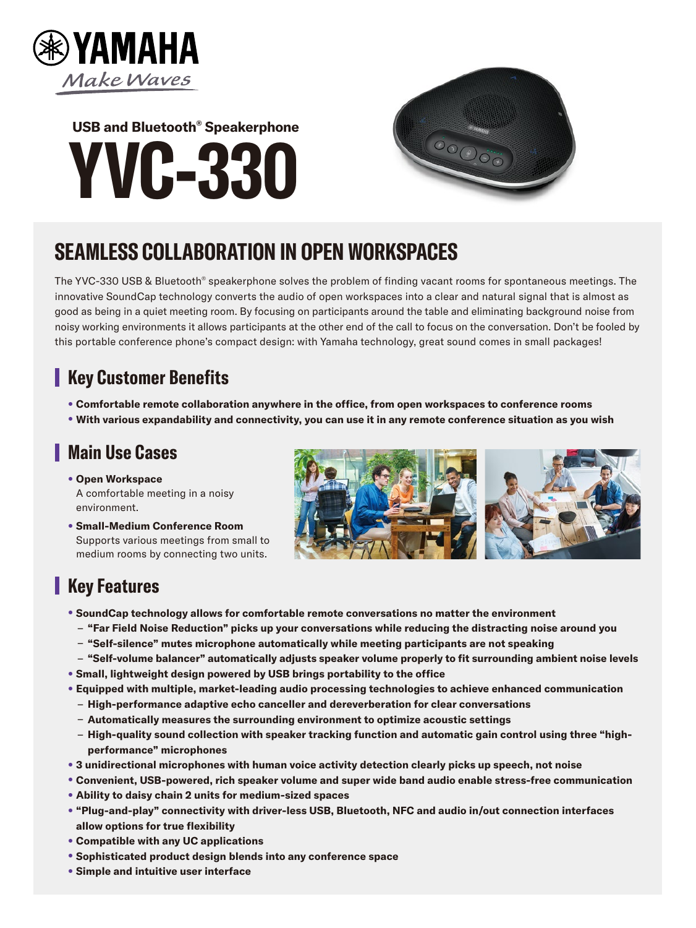

# **-330YVC USB and Bluetooth<sup>®</sup> Speakerphone**



## **SEAMLESS COLLABORATION IN OPEN WORKSPACES**

The YVC-330 USB & Bluetooth® speakerphone solves the problem of finding vacant rooms for spontaneous meetings. The innovative SoundCap technology converts the audio of open workspaces into a clear and natural signal that is almost as good as being in a quiet meeting room. By focusing on participants around the table and eliminating background noise from noisy working environments it allows participants at the other end of the call to focus on the conversation. Don't be fooled by this portable conference phone's compact design: with Yamaha technology, great sound comes in small packages!

#### **Key Customer Benefits**

- **Comfortable remote collaboration anywhere in the office, from open workspaces to conference rooms**
- **With various expandability and connectivity, you can use it in any remote conference situation as you wish**

#### **L** Main Use Cases

- **Open Workspace** A comfortable meeting in a noisy .environment
- **Small-Medium Conference Room** Supports various meetings from small to medium rooms by connecting two units.



### **Key Features**

- **SoundCap technology allows for comfortable remote conversations no matter the environment** 
	- $-$  "Far Field Noise Reduction" picks up your conversations while reducing the distracting noise around you
	- "Self-silence" mutes microphone automatically while meeting participants are not speaking
	- *l* **"Self-volume balancer" automatically adjusts speaker volume properly to fit surrounding ambient noise levels**
- **Small, lightweight design powered by USB brings portability to the office**
- **Equipped with multiple, market-leading audio processing technologies to achieve enhanced communication** 
	- **High-performance adaptive echo canceller and dereverberation for clear conversations**
	- Automatically measures the surrounding environment to optimize acoustic settings
	- High-quality sound collection with speaker tracking function and automatic gain control using three "high-<br>performance" microphones
- 3 unidirectional microphones with human voice activity detection clearly picks up speech, not noise
- **Convenient, USB-powered, rich speaker volume and super wide band audio enable stress-free communication**
- **Ability to daisy chain 2 units for medium-sized spaces**
- "Plug-and-play" connectivity with driver-less USB, Bluetooth, NFC and audio in/out connection interfaces **allow options for true flexibility**
- **Compatible with any UC applications**
- **Sophisticated product design blends into any conference space**
- **Simple and intuitive user interface**